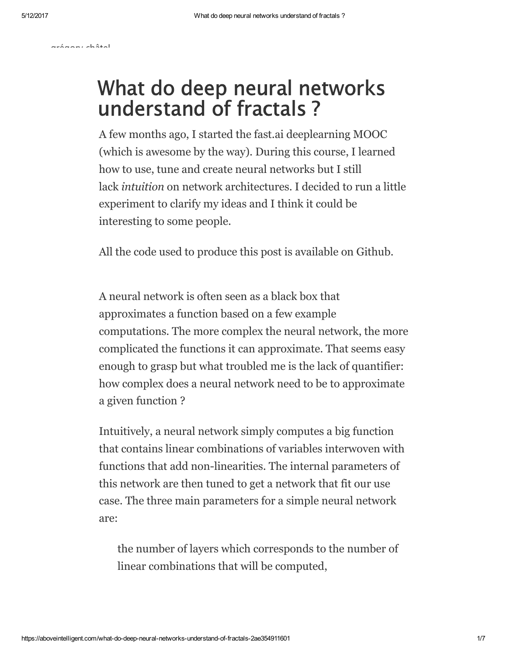[grégory](https://aboveintelligent.com/@chatel.gregory?source=post_header_lockup) châtel

## What do deep neural networks understand of fractals ?

A few months ago, I started the [fast.ai](http://fast.ai/) deeplearning MOOC (which is awesome by the way). During this course, I learned how to use, tune and create neural networks but I still lack *intuition* on network architectures. I decided to run a little experiment to clarify my ideas and I think it could be interesting to some people.

All the code used to produce this post is available on [Github.](https://github.com/rodgzilla/machine_learning_mandelbrot_neural_network)

A neural network is often seen as a black box that approximates a function based on a few example computations. The more complex the neural network, the more complicated the functions it can approximate. That seems easy enough to grasp but what troubled me is the lack of quantifier: how complex does a neural network need to be to approximate a given function ?

Intuitively, a neural network simply computes a big function that contains linear [combinations](https://en.wikipedia.org/wiki/Linear_combination) of variables interwoven with functions that add non-linearities. The internal parameters of this network are then tuned to get a network that fit our use case. The three main parameters for a simple neural network are:

the number of layers which corresponds to the number of linear combinations that will be computed,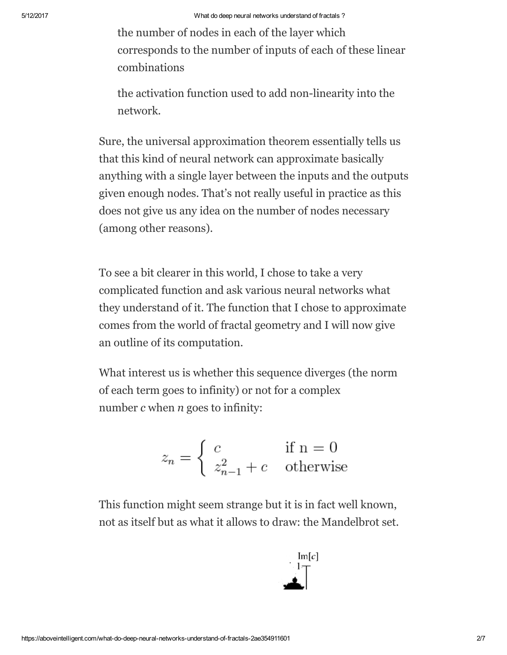the number of nodes in each of the layer which corresponds to the number of inputs of each of these linear combinations

the activation function used to add non-linearity into the network.

Sure, the universal [approximation](https://en.wikipedia.org/wiki/Universal_approximation_theorem) theorem essentially tells us that this kind of neural network can approximate basically anything with a single layer between the inputs and the outputs given enough nodes. That's not really useful in practice as this does not give us any idea on the number of nodes necessary (among other [reasons](https://www.quora.com/What-is-the-implication-of-the-Universal-Approximation-Theorem-over-deep-learning-methodology)).

To see a bit clearer in this world, I chose to take a very complicated function and ask various neural networks what they understand of it. The function that I chose to approximate comes from the world of fractal geometry and I will now give an outline of its computation.

What interest us is whether this sequence diverges (the norm of each term goes to infinity) or not for a complex number *c* when *n* goes to infinity:

$$
z_n = \begin{cases} c & \text{if } n = 0\\ z_{n-1}^2 + c & \text{otherwise} \end{cases}
$$

This function might seem strange but it is in fact well known, not as itself but as what it allows to draw: the [Mandelbrot](https://en.wikipedia.org/wiki/Mandelbrot_set) set.

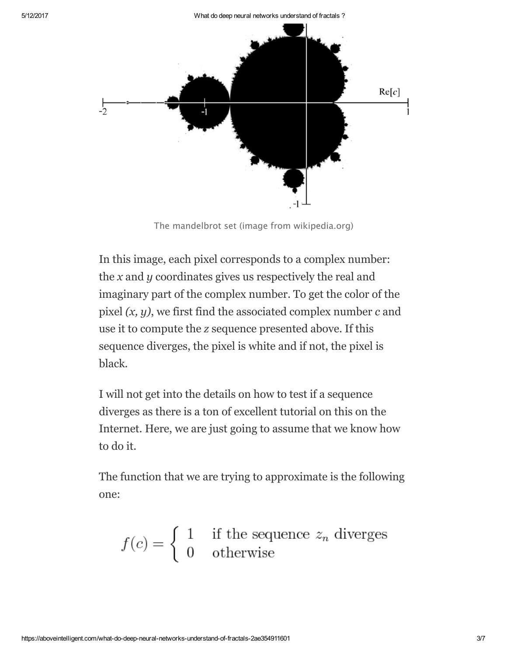

The mandelbrot set (image from wikipedia.org)

In this image, each pixel corresponds to a complex number: the *x* and *y* coordinates gives us respectively the real and imaginary part of the complex number. To get the color of the pixel *(x, y)*, we first find the associated complex number *c* and use it to compute the *z* sequence presented above. If this sequence diverges, the pixel is white and if not, the pixel is black.

I will not get into the details on how to test if a sequence diverges as there is a ton of excellent tutorial on this on the Internet. Here, we are just going to assume that we know how to do it.

The function that we are trying to approximate is the following one:

$$
f(c) = \begin{cases} 1 & \text{if the sequence } z_n \text{ diverges} \\ 0 & \text{otherwise} \end{cases}
$$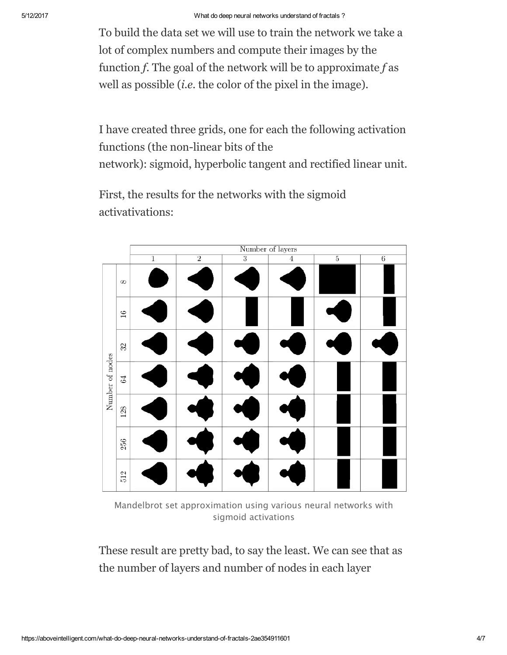To build the data set we will use to train the network we take a lot of complex numbers and compute their images by the function *f*. The goal of the network will be to approximate *f* as well as possible (*i.e.* the color of the pixel in the image).

I have created three grids, one for each the following activation functions (the non-linear bits of the network): [sigmoid,](https://en.wikipedia.org/wiki/Sigmoid_function) [hyperbolic](https://en.wikipedia.org/wiki/Hyperbolic_function#Hyperbolic_tangent) tangent and [rectified](https://en.wikipedia.org/wiki/Rectifier_%28neural_networks%29) linear unit.

First, the results for the networks with the sigmoid activativations:

|                 |          | Number of layers |                |                |                |                |                |
|-----------------|----------|------------------|----------------|----------------|----------------|----------------|----------------|
|                 |          | $\overline{1}$   | $\overline{2}$ | $\overline{3}$ | $\overline{4}$ | $\overline{5}$ | $\overline{6}$ |
| Number of nodes | $\infty$ |                  |                |                |                |                |                |
|                 | 16       |                  |                |                |                |                |                |
|                 | 32       |                  |                |                |                |                |                |
|                 | $64\,$   |                  |                |                |                |                |                |
|                 | 128      |                  |                |                |                |                |                |
|                 | 256      |                  |                |                |                |                |                |
|                 | 512      |                  |                |                |                |                |                |

Mandelbrot set approximation using various neural networks with sigmoid activations

These result are pretty bad, to say the least. We can see that as the number of layers and number of nodes in each layer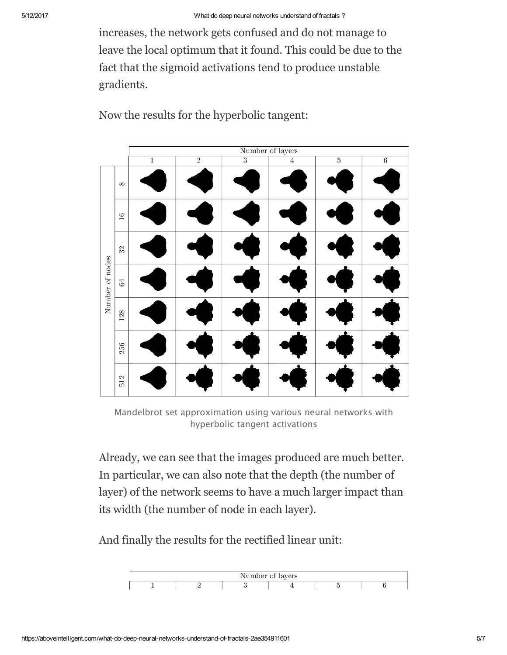increases, the network gets confused and do not manage to leave the local [optimum](https://en.wikipedia.org/wiki/Local_optimum) that it found. This could be due to the fact that the sigmoid [activations](http://neuralnetworksanddeeplearning.com/chap5.html#the_vanishing_gradient_problem) tend to produce unstable gradients.



Now the results for the hyperbolic tangent:

Mandelbrot set approximation using various neural networks with hyperbolic tangent activations

Already, we can see that the images produced are much better. In particular, we can also note that the depth (the number of layer) of the network seems to have a much larger impact than its width (the number of node in each layer).

And finally the results for the rectified linear unit:

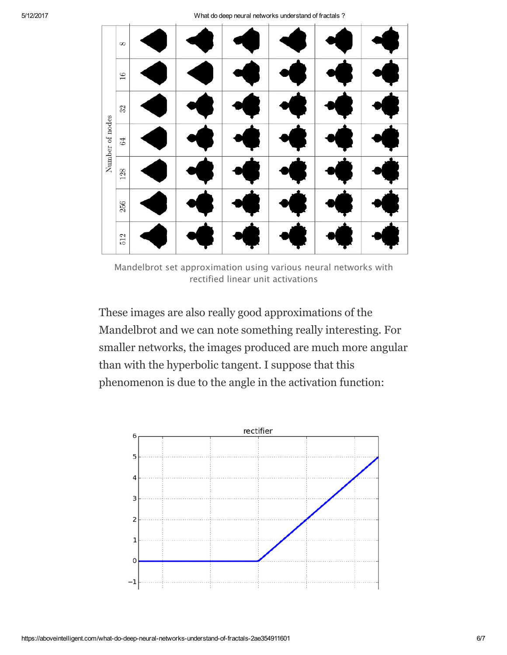

Mandelbrot set approximation using various neural networks with rectified linear unit activations

These images are also really good approximations of the Mandelbrot and we can note something really interesting. For smaller networks, the images produced are much more angular than with the hyperbolic tangent. I suppose that this phenomenon is due to the angle in the activation function: